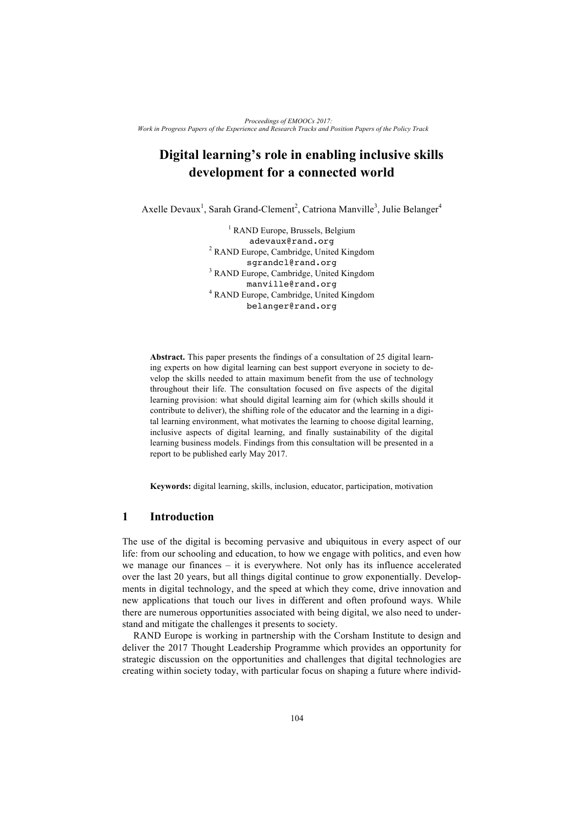# **Digital learning's role in enabling inclusive skills development for a connected world**

Axelle Devaux<sup>1</sup>, Sarah Grand-Clement<sup>2</sup>, Catriona Manville<sup>3</sup>, Julie Belanger<sup>4</sup>

<sup>1</sup> RAND Europe, Brussels, Belgium adevaux@rand.org <sup>2</sup> RAND Europe, Cambridge, United Kingdom sgrandcl@rand.org <sup>3</sup> RAND Europe, Cambridge, United Kingdom manville@rand.org <sup>4</sup> RAND Europe, Cambridge, United Kingdom belanger@rand.org

**Abstract.** This paper presents the findings of a consultation of 25 digital learning experts on how digital learning can best support everyone in society to develop the skills needed to attain maximum benefit from the use of technology throughout their life. The consultation focused on five aspects of the digital learning provision: what should digital learning aim for (which skills should it contribute to deliver), the shifting role of the educator and the learning in a digital learning environment, what motivates the learning to choose digital learning, inclusive aspects of digital learning, and finally sustainability of the digital learning business models. Findings from this consultation will be presented in a report to be published early May 2017.

**Keywords:** digital learning, skills, inclusion, educator, participation, motivation

### **1 Introduction**

The use of the digital is becoming pervasive and ubiquitous in every aspect of our life: from our schooling and education, to how we engage with politics, and even how we manage our finances – it is everywhere. Not only has its influence accelerated over the last 20 years, but all things digital continue to grow exponentially. Developments in digital technology, and the speed at which they come, drive innovation and new applications that touch our lives in different and often profound ways. While there are numerous opportunities associated with being digital, we also need to understand and mitigate the challenges it presents to society.

RAND Europe is working in partnership with the Corsham Institute to design and deliver the 2017 Thought Leadership Programme which provides an opportunity for strategic discussion on the opportunities and challenges that digital technologies are creating within society today, with particular focus on shaping a future where individ-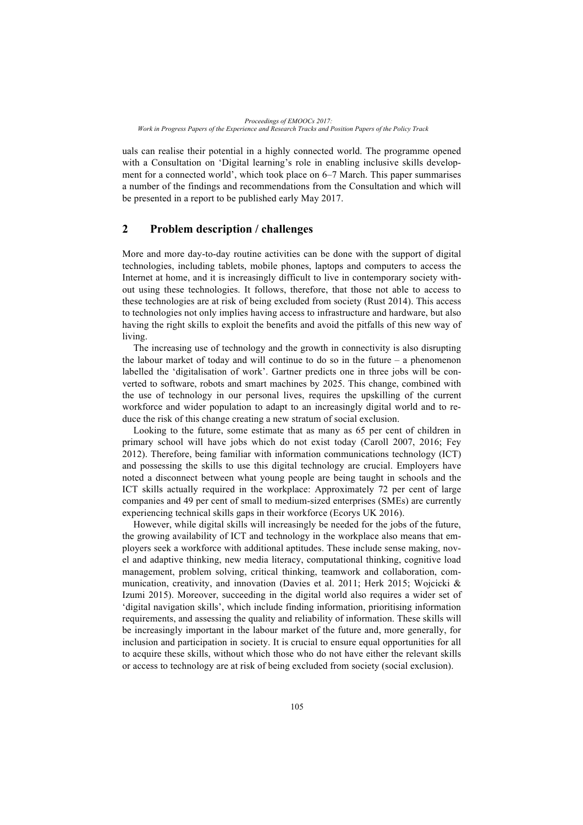uals can realise their potential in a highly connected world. The programme opened with a Consultation on 'Digital learning's role in enabling inclusive skills development for a connected world', which took place on 6–7 March. This paper summarises a number of the findings and recommendations from the Consultation and which will be presented in a report to be published early May 2017.

# **2 Problem description / challenges**

More and more day-to-day routine activities can be done with the support of digital technologies, including tablets, mobile phones, laptops and computers to access the Internet at home, and it is increasingly difficult to live in contemporary society without using these technologies. It follows, therefore, that those not able to access to these technologies are at risk of being excluded from society (Rust 2014). This access to technologies not only implies having access to infrastructure and hardware, but also having the right skills to exploit the benefits and avoid the pitfalls of this new way of living.

The increasing use of technology and the growth in connectivity is also disrupting the labour market of today and will continue to do so in the future – a phenomenon labelled the 'digitalisation of work'. Gartner predicts one in three jobs will be converted to software, robots and smart machines by 2025. This change, combined with the use of technology in our personal lives, requires the upskilling of the current workforce and wider population to adapt to an increasingly digital world and to reduce the risk of this change creating a new stratum of social exclusion.

Looking to the future, some estimate that as many as 65 per cent of children in primary school will have jobs which do not exist today (Caroll 2007, 2016; Fey 2012). Therefore, being familiar with information communications technology (ICT) and possessing the skills to use this digital technology are crucial. Employers have noted a disconnect between what young people are being taught in schools and the ICT skills actually required in the workplace: Approximately 72 per cent of large companies and 49 per cent of small to medium-sized enterprises (SMEs) are currently experiencing technical skills gaps in their workforce (Ecorys UK 2016).

However, while digital skills will increasingly be needed for the jobs of the future, the growing availability of ICT and technology in the workplace also means that employers seek a workforce with additional aptitudes. These include sense making, novel and adaptive thinking, new media literacy, computational thinking, cognitive load management, problem solving, critical thinking, teamwork and collaboration, communication, creativity, and innovation (Davies et al. 2011; Herk 2015; Wojcicki & Izumi 2015). Moreover, succeeding in the digital world also requires a wider set of 'digital navigation skills', which include finding information, prioritising information requirements, and assessing the quality and reliability of information. These skills will be increasingly important in the labour market of the future and, more generally, for inclusion and participation in society. It is crucial to ensure equal opportunities for all to acquire these skills, without which those who do not have either the relevant skills or access to technology are at risk of being excluded from society (social exclusion).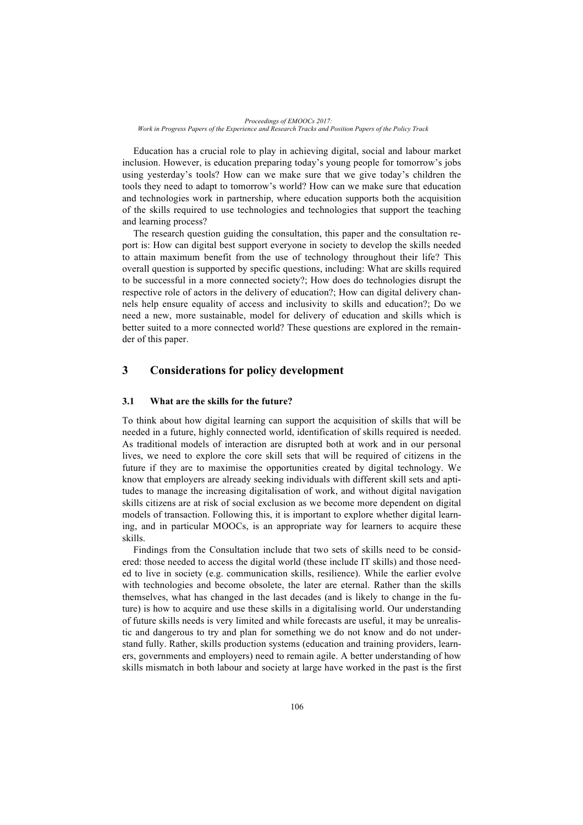Education has a crucial role to play in achieving digital, social and labour market inclusion. However, is education preparing today's young people for tomorrow's jobs using yesterday's tools? How can we make sure that we give today's children the tools they need to adapt to tomorrow's world? How can we make sure that education and technologies work in partnership, where education supports both the acquisition of the skills required to use technologies and technologies that support the teaching and learning process?

The research question guiding the consultation, this paper and the consultation report is: How can digital best support everyone in society to develop the skills needed to attain maximum benefit from the use of technology throughout their life? This overall question is supported by specific questions, including: What are skills required to be successful in a more connected society?; How does do technologies disrupt the respective role of actors in the delivery of education?; How can digital delivery channels help ensure equality of access and inclusivity to skills and education?; Do we need a new, more sustainable, model for delivery of education and skills which is better suited to a more connected world? These questions are explored in the remainder of this paper.

# **3 Considerations for policy development**

#### **3.1 What are the skills for the future?**

To think about how digital learning can support the acquisition of skills that will be needed in a future, highly connected world, identification of skills required is needed. As traditional models of interaction are disrupted both at work and in our personal lives, we need to explore the core skill sets that will be required of citizens in the future if they are to maximise the opportunities created by digital technology. We know that employers are already seeking individuals with different skill sets and aptitudes to manage the increasing digitalisation of work, and without digital navigation skills citizens are at risk of social exclusion as we become more dependent on digital models of transaction. Following this, it is important to explore whether digital learning, and in particular MOOCs, is an appropriate way for learners to acquire these skills.

Findings from the Consultation include that two sets of skills need to be considered: those needed to access the digital world (these include IT skills) and those needed to live in society (e.g. communication skills, resilience). While the earlier evolve with technologies and become obsolete, the later are eternal. Rather than the skills themselves, what has changed in the last decades (and is likely to change in the future) is how to acquire and use these skills in a digitalising world. Our understanding of future skills needs is very limited and while forecasts are useful, it may be unrealistic and dangerous to try and plan for something we do not know and do not understand fully. Rather, skills production systems (education and training providers, learners, governments and employers) need to remain agile. A better understanding of how skills mismatch in both labour and society at large have worked in the past is the first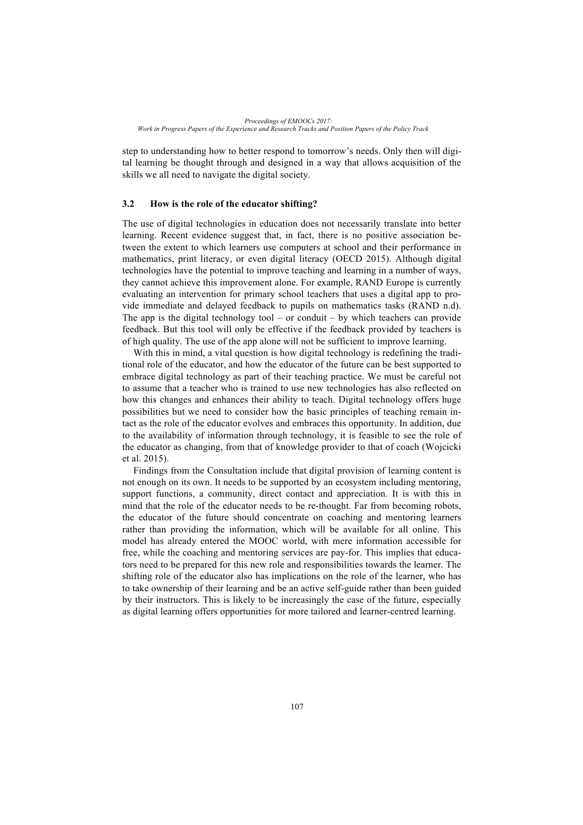step to understanding how to better respond to tomorrow's needs. Only then will digital learning be thought through and designed in a way that allows acquisition of the skills we all need to navigate the digital society.

#### **3.2 How is the role of the educator shifting?**

The use of digital technologies in education does not necessarily translate into better learning. Recent evidence suggest that, in fact, there is no positive association between the extent to which learners use computers at school and their performance in mathematics, print literacy, or even digital literacy (OECD 2015). Although digital technologies have the potential to improve teaching and learning in a number of ways, they cannot achieve this improvement alone. For example, RAND Europe is currently evaluating an intervention for primary school teachers that uses a digital app to provide immediate and delayed feedback to pupils on mathematics tasks (RAND n.d). The app is the digital technology tool – or conduit – by which teachers can provide feedback. But this tool will only be effective if the feedback provided by teachers is of high quality. The use of the app alone will not be sufficient to improve learning.

With this in mind, a vital question is how digital technology is redefining the traditional role of the educator, and how the educator of the future can be best supported to embrace digital technology as part of their teaching practice. We must be careful not to assume that a teacher who is trained to use new technologies has also reflected on how this changes and enhances their ability to teach. Digital technology offers huge possibilities but we need to consider how the basic principles of teaching remain intact as the role of the educator evolves and embraces this opportunity. In addition, due to the availability of information through technology, it is feasible to see the role of the educator as changing, from that of knowledge provider to that of coach (Wojcicki et al. 2015).

Findings from the Consultation include that digital provision of learning content is not enough on its own. It needs to be supported by an ecosystem including mentoring, support functions, a community, direct contact and appreciation. It is with this in mind that the role of the educator needs to be re-thought. Far from becoming robots, the educator of the future should concentrate on coaching and mentoring learners rather than providing the information, which will be available for all online. This model has already entered the MOOC world, with mere information accessible for free, while the coaching and mentoring services are pay-for. This implies that educators need to be prepared for this new role and responsibilities towards the learner. The shifting role of the educator also has implications on the role of the learner, who has to take ownership of their learning and be an active self-guide rather than been guided by their instructors. This is likely to be increasingly the case of the future, especially as digital learning offers opportunities for more tailored and learner-centred learning.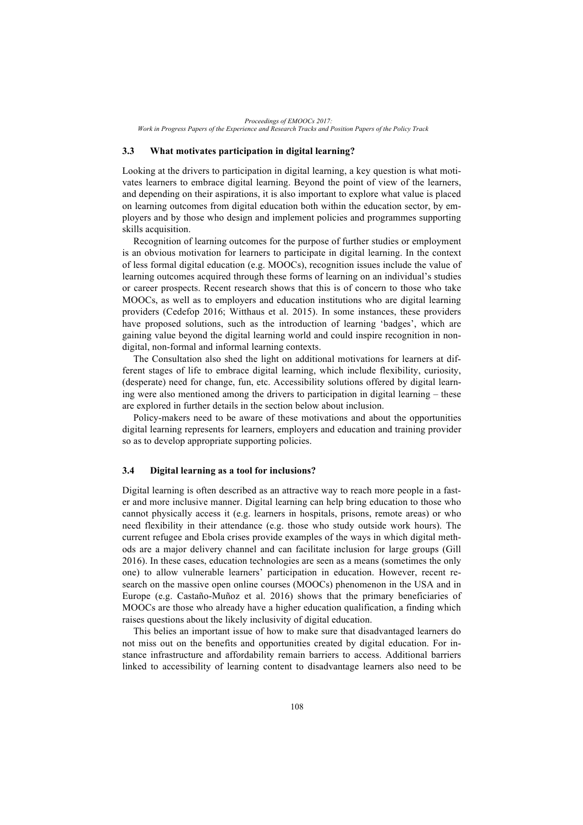*Proceedings of EMOOCs 2017: Work in Progress Papers of the Experience and Research Tracks and Position Papers of the Policy Track*

#### **3.3 What motivates participation in digital learning?**

Looking at the drivers to participation in digital learning, a key question is what motivates learners to embrace digital learning. Beyond the point of view of the learners, and depending on their aspirations, it is also important to explore what value is placed on learning outcomes from digital education both within the education sector, by employers and by those who design and implement policies and programmes supporting skills acquisition.

Recognition of learning outcomes for the purpose of further studies or employment is an obvious motivation for learners to participate in digital learning. In the context of less formal digital education (e.g. MOOCs), recognition issues include the value of learning outcomes acquired through these forms of learning on an individual's studies or career prospects. Recent research shows that this is of concern to those who take MOOCs, as well as to employers and education institutions who are digital learning providers (Cedefop 2016; Witthaus et al. 2015). In some instances, these providers have proposed solutions, such as the introduction of learning 'badges', which are gaining value beyond the digital learning world and could inspire recognition in nondigital, non-formal and informal learning contexts.

The Consultation also shed the light on additional motivations for learners at different stages of life to embrace digital learning, which include flexibility, curiosity, (desperate) need for change, fun, etc. Accessibility solutions offered by digital learning were also mentioned among the drivers to participation in digital learning – these are explored in further details in the section below about inclusion.

Policy-makers need to be aware of these motivations and about the opportunities digital learning represents for learners, employers and education and training provider so as to develop appropriate supporting policies.

#### **3.4 Digital learning as a tool for inclusions?**

Digital learning is often described as an attractive way to reach more people in a faster and more inclusive manner. Digital learning can help bring education to those who cannot physically access it (e.g. learners in hospitals, prisons, remote areas) or who need flexibility in their attendance (e.g. those who study outside work hours). The current refugee and Ebola crises provide examples of the ways in which digital methods are a major delivery channel and can facilitate inclusion for large groups (Gill 2016). In these cases, education technologies are seen as a means (sometimes the only one) to allow vulnerable learners' participation in education. However, recent research on the massive open online courses (MOOCs) phenomenon in the USA and in Europe (e.g. Castaño-Muñoz et al. 2016) shows that the primary beneficiaries of MOOCs are those who already have a higher education qualification, a finding which raises questions about the likely inclusivity of digital education.

This belies an important issue of how to make sure that disadvantaged learners do not miss out on the benefits and opportunities created by digital education. For instance infrastructure and affordability remain barriers to access. Additional barriers linked to accessibility of learning content to disadvantage learners also need to be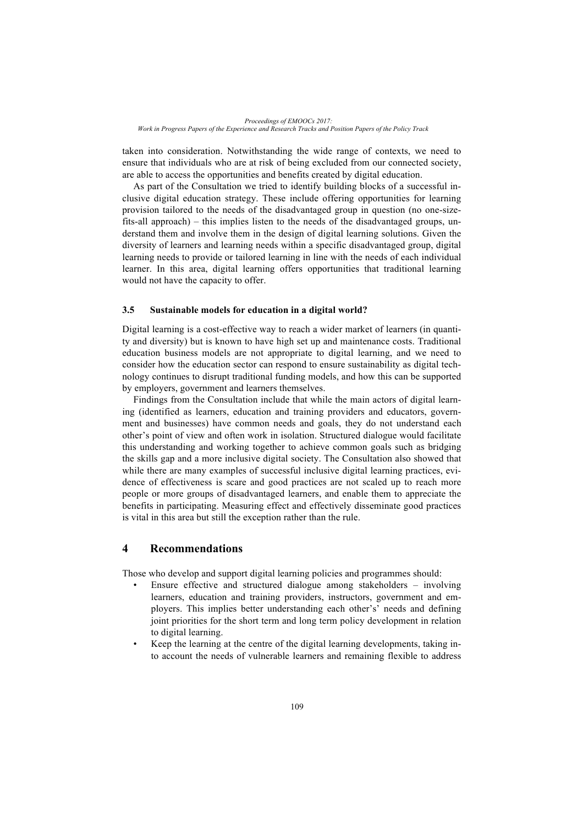taken into consideration. Notwithstanding the wide range of contexts, we need to ensure that individuals who are at risk of being excluded from our connected society, are able to access the opportunities and benefits created by digital education.

As part of the Consultation we tried to identify building blocks of a successful inclusive digital education strategy. These include offering opportunities for learning provision tailored to the needs of the disadvantaged group in question (no one-sizefits-all approach) – this implies listen to the needs of the disadvantaged groups, understand them and involve them in the design of digital learning solutions. Given the diversity of learners and learning needs within a specific disadvantaged group, digital learning needs to provide or tailored learning in line with the needs of each individual learner. In this area, digital learning offers opportunities that traditional learning would not have the capacity to offer.

#### **3.5 Sustainable models for education in a digital world?**

Digital learning is a cost-effective way to reach a wider market of learners (in quantity and diversity) but is known to have high set up and maintenance costs. Traditional education business models are not appropriate to digital learning, and we need to consider how the education sector can respond to ensure sustainability as digital technology continues to disrupt traditional funding models, and how this can be supported by employers, government and learners themselves.

Findings from the Consultation include that while the main actors of digital learning (identified as learners, education and training providers and educators, government and businesses) have common needs and goals, they do not understand each other's point of view and often work in isolation. Structured dialogue would facilitate this understanding and working together to achieve common goals such as bridging the skills gap and a more inclusive digital society. The Consultation also showed that while there are many examples of successful inclusive digital learning practices, evidence of effectiveness is scare and good practices are not scaled up to reach more people or more groups of disadvantaged learners, and enable them to appreciate the benefits in participating. Measuring effect and effectively disseminate good practices is vital in this area but still the exception rather than the rule.

## **4 Recommendations**

Those who develop and support digital learning policies and programmes should:

- Ensure effective and structured dialogue among stakeholders involving learners, education and training providers, instructors, government and employers. This implies better understanding each other's' needs and defining joint priorities for the short term and long term policy development in relation to digital learning.
- Keep the learning at the centre of the digital learning developments, taking into account the needs of vulnerable learners and remaining flexible to address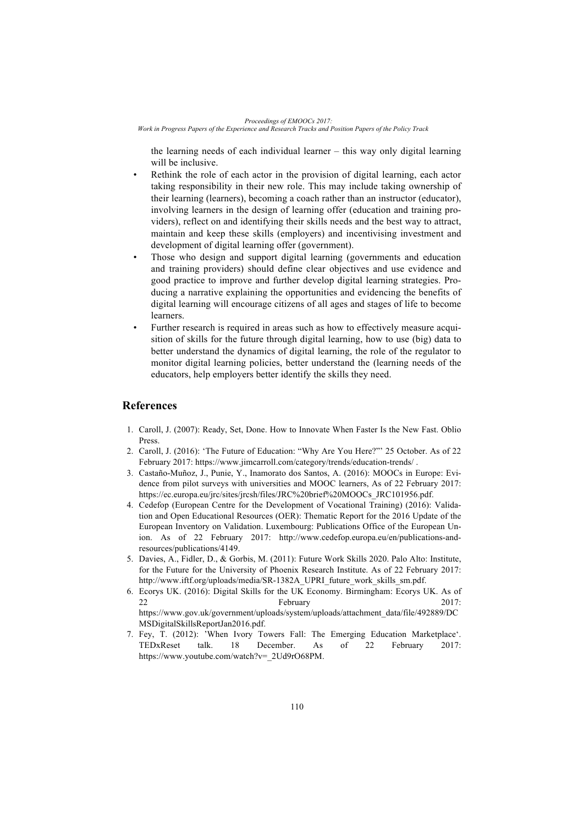*Proceedings of EMOOCs 2017:*

*Work in Progress Papers of the Experience and Research Tracks and Position Papers of the Policy Track*

the learning needs of each individual learner – this way only digital learning will be inclusive.

- Rethink the role of each actor in the provision of digital learning, each actor taking responsibility in their new role. This may include taking ownership of their learning (learners), becoming a coach rather than an instructor (educator), involving learners in the design of learning offer (education and training providers), reflect on and identifying their skills needs and the best way to attract, maintain and keep these skills (employers) and incentivising investment and development of digital learning offer (government).
- Those who design and support digital learning (governments and education and training providers) should define clear objectives and use evidence and good practice to improve and further develop digital learning strategies. Producing a narrative explaining the opportunities and evidencing the benefits of digital learning will encourage citizens of all ages and stages of life to become learners.
- Further research is required in areas such as how to effectively measure acquisition of skills for the future through digital learning, how to use (big) data to better understand the dynamics of digital learning, the role of the regulator to monitor digital learning policies, better understand the (learning needs of the educators, help employers better identify the skills they need.

# **References**

- 1. Caroll, J. (2007): Ready, Set, Done. How to Innovate When Faster Is the New Fast. Oblio Press.
- 2. Caroll, J. (2016): 'The Future of Education: "Why Are You Here?"' 25 October. As of 22 February 2017: https://www.jimcarroll.com/category/trends/education-trends/ .
- 3. Castaño-Muñoz, J., Punie, Y., Inamorato dos Santos, A. (2016): MOOCs in Europe: Evidence from pilot surveys with universities and MOOC learners, As of 22 February 2017: https://ec.europa.eu/jrc/sites/jrcsh/files/JRC%20brief%20MOOCs\_JRC101956.pdf.
- 4. Cedefop (European Centre for the Development of Vocational Training) (2016): Validation and Open Educational Resources (OER): Thematic Report for the 2016 Update of the European Inventory on Validation. Luxembourg: Publications Office of the European Union. As of 22 February 2017: http://www.cedefop.europa.eu/en/publications-andresources/publications/4149.
- 5. Davies, A., Fidler, D., & Gorbis, M. (2011): Future Work Skills 2020. Palo Alto: Institute, for the Future for the University of Phoenix Research Institute. As of 22 February 2017: http://www.iftf.org/uploads/media/SR-1382A\_UPRI\_future\_work\_skills\_sm.pdf.
- 6. Ecorys UK. (2016): Digital Skills for the UK Economy. Birmingham: Ecorys UK. As of 22 February 2017: https://www.gov.uk/government/uploads/system/uploads/attachment\_data/file/492889/DC MSDigitalSkillsReportJan2016.pdf.
- 7. Fey, T. (2012): 'When Ivory Towers Fall: The Emerging Education Marketplace'. TEDxReset talk. 18 December. As of 22 February 2017: https://www.youtube.com/watch?v=\_2Ud9rO68PM.